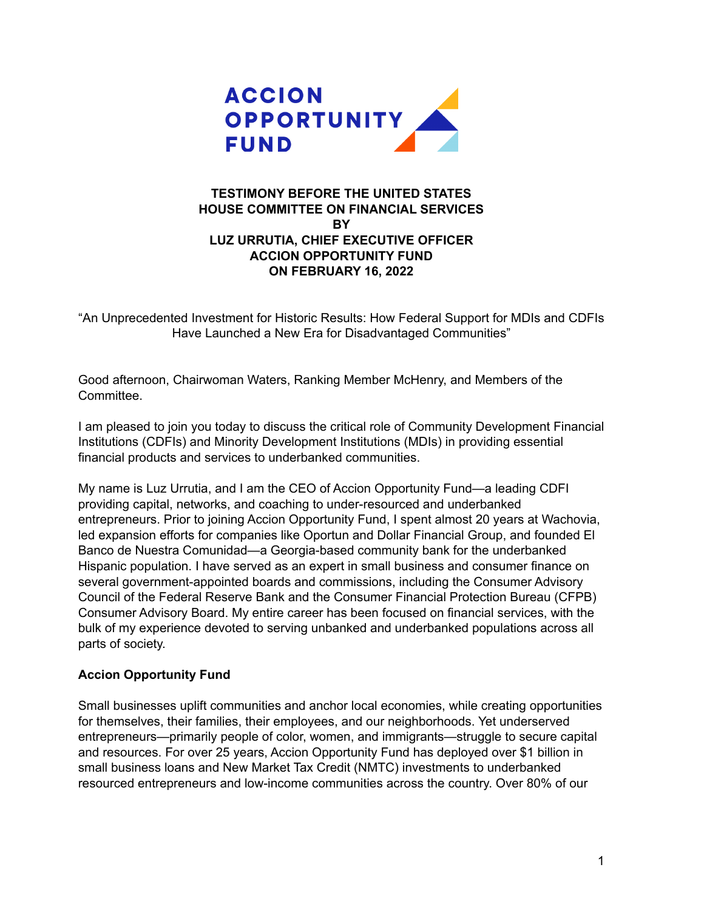

## **TESTIMONY BEFORE THE UNITED STATES HOUSE COMMITTEE ON FINANCIAL SERVICES BY LUZ URRUTIA, CHIEF EXECUTIVE OFFICER ACCION OPPORTUNITY FUND ON FEBRUARY 16, 2022**

"An Unprecedented Investment for Historic Results: How Federal Support for MDIs and CDFIs Have Launched a New Era for Disadvantaged Communities"

Good afternoon, Chairwoman Waters, Ranking Member McHenry, and Members of the Committee.

I am pleased to join you today to discuss the critical role of Community Development Financial Institutions (CDFIs) and Minority Development Institutions (MDIs) in providing essential financial products and services to underbanked communities.

My name is Luz Urrutia, and I am the CEO of Accion Opportunity Fund—a leading CDFI providing capital, networks, and coaching to under-resourced and underbanked entrepreneurs. Prior to joining Accion Opportunity Fund, I spent almost 20 years at Wachovia, led expansion efforts for companies like Oportun and Dollar Financial Group, and founded El Banco de Nuestra Comunidad—a Georgia-based community bank for the underbanked Hispanic population. I have served as an expert in small business and consumer finance on several government-appointed boards and commissions, including the Consumer Advisory Council of the Federal Reserve Bank and the Consumer Financial Protection Bureau (CFPB) Consumer Advisory Board. My entire career has been focused on financial services, with the bulk of my experience devoted to serving unbanked and underbanked populations across all parts of society.

#### **Accion Opportunity Fund**

Small businesses uplift communities and anchor local economies, while creating opportunities for themselves, their families, their employees, and our neighborhoods. Yet underserved entrepreneurs—primarily people of color, women, and immigrants—struggle to secure capital and resources. For over 25 years, Accion Opportunity Fund has deployed over \$1 billion in small business loans and New Market Tax Credit (NMTC) investments to underbanked resourced entrepreneurs and low-income communities across the country. Over 80% of our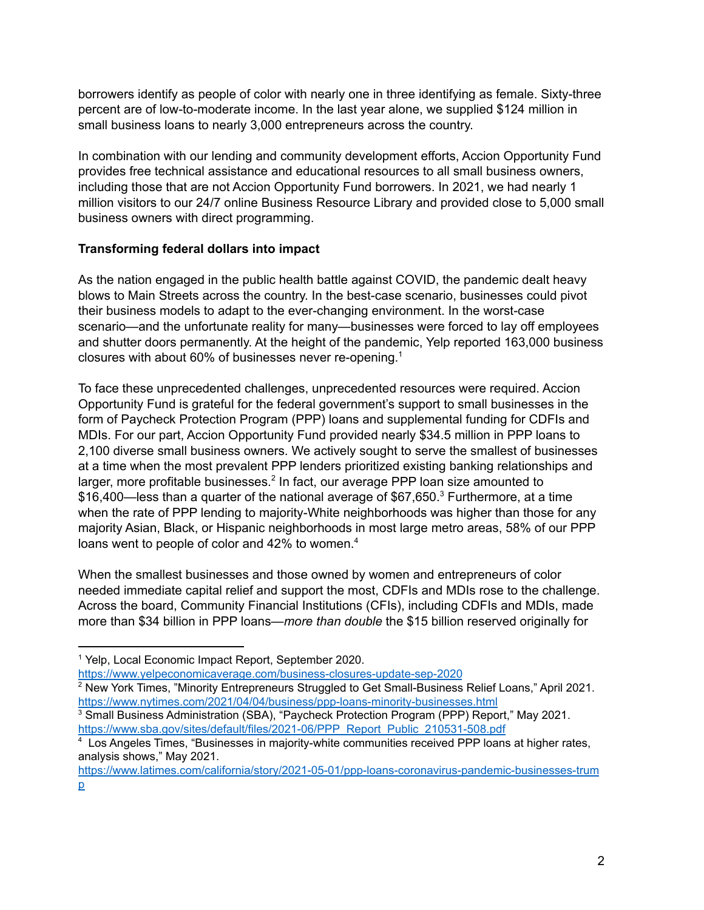borrowers identify as people of color with nearly one in three identifying as female. Sixty-three percent are of low-to-moderate income. In the last year alone, we supplied \$124 million in small business loans to nearly 3,000 entrepreneurs across the country.

In combination with our lending and community development efforts, Accion Opportunity Fund provides free technical assistance and educational resources to all small business owners, including those that are not Accion Opportunity Fund borrowers. In 2021, we had nearly 1 million visitors to our 24/7 online Business Resource Library and provided close to 5,000 small business owners with direct programming.

#### **Transforming federal dollars into impact**

As the nation engaged in the public health battle against COVID, the pandemic dealt heavy blows to Main Streets across the country. In the best-case scenario, businesses could pivot their business models to adapt to the ever-changing environment. In the worst-case scenario—and the unfortunate reality for many—businesses were forced to lay off employees and shutter doors permanently. At the height of the pandemic, Yelp reported 163,000 business closures with about 60% of businesses never re-opening. 1

To face these unprecedented challenges, unprecedented resources were required. Accion Opportunity Fund is grateful for the federal government's support to small businesses in the form of Paycheck Protection Program (PPP) loans and supplemental funding for CDFIs and MDIs. For our part, Accion Opportunity Fund provided nearly \$34.5 million in PPP loans to 2,100 diverse small business owners. We actively sought to serve the smallest of businesses at a time when the most prevalent PPP lenders prioritized existing banking relationships and larger, more profitable businesses. $2$  In fact, our average PPP loan size amounted to \$16,400—less than a quarter of the national average of \$67,650.<sup>3</sup> Furthermore, at a time when the rate of PPP lending to majority-White neighborhoods was higher than those for any majority Asian, Black, or Hispanic neighborhoods in most large metro areas, 58% of our PPP loans went to people of color and 42% to women.<sup>4</sup>

When the smallest businesses and those owned by women and entrepreneurs of color needed immediate capital relief and support the most, CDFIs and MDIs rose to the challenge. Across the board, Community Financial Institutions (CFIs), including CDFIs and MDIs, made more than \$34 billion in PPP loans—*more than double* the \$15 billion reserved originally for

<https://www.yelpeconomicaverage.com/business-closures-update-sep-2020>

<sup>1</sup> Yelp, Local Economic Impact Report, September 2020.

<sup>&</sup>lt;sup>2</sup> New York Times, "Minority Entrepreneurs Struggled to Get Small-Business Relief Loans," April 2021. <https://www.nytimes.com/2021/04/04/business/ppp-loans-minority-businesses.html>

<sup>&</sup>lt;sup>3</sup> Small Business Administration (SBA), "Paycheck Protection Program (PPP) Report," May 2021. [https://www.sba.gov/sites/default/files/2021-06/PPP\\_Report\\_Public\\_210531-508.pdf](https://www.sba.gov/sites/default/files/2021-06/PPP_Report_Public_210531-508.pdf)

<sup>4</sup> Los Angeles Times, "Businesses in majority-white communities received PPP loans at higher rates, analysis shows," May 2021.

[https://www.latimes.com/california/story/2021-05-01/ppp-loans-coronavirus-pandemic-businesses-trum](https://www.latimes.com/california/story/2021-05-01/ppp-loans-coronavirus-pandemic-businesses-trump) [p](https://www.latimes.com/california/story/2021-05-01/ppp-loans-coronavirus-pandemic-businesses-trump)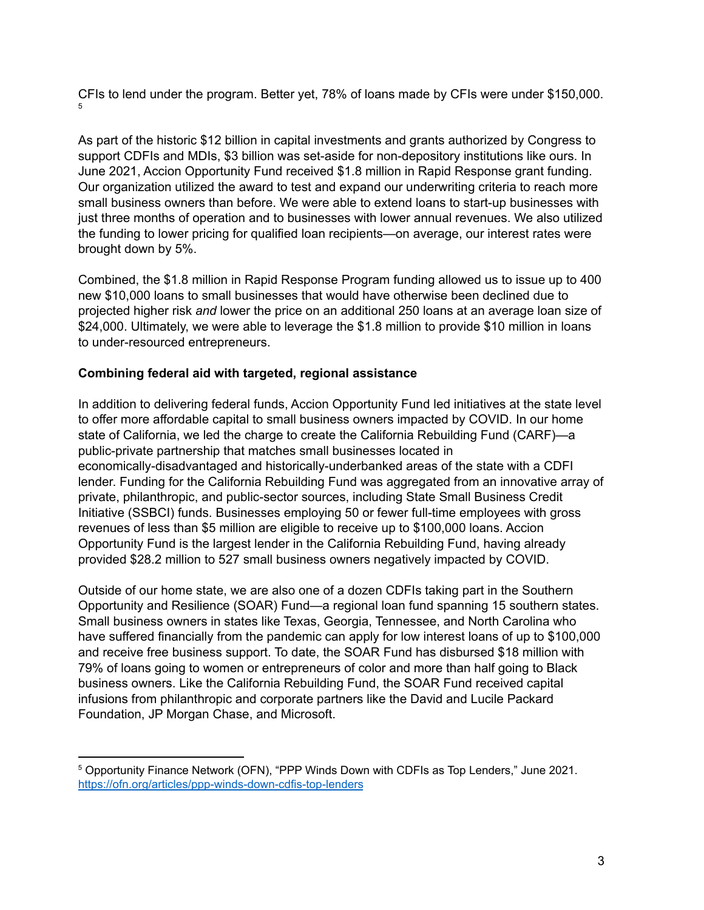CFIs to lend under the program. Better yet, 78% of loans made by CFIs were under \$150,000. 5

As part of the historic \$12 billion in capital investments and grants authorized by Congress to support CDFIs and MDIs, \$3 billion was set-aside for non-depository institutions like ours. In June 2021, Accion Opportunity Fund received \$1.8 million in Rapid Response grant funding. Our organization utilized the award to test and expand our underwriting criteria to reach more small business owners than before. We were able to extend loans to start-up businesses with just three months of operation and to businesses with lower annual revenues. We also utilized the funding to lower pricing for qualified loan recipients—on average, our interest rates were brought down by 5%.

Combined, the \$1.8 million in Rapid Response Program funding allowed us to issue up to 400 new \$10,000 loans to small businesses that would have otherwise been declined due to projected higher risk *and* lower the price on an additional 250 loans at an average loan size of \$24,000. Ultimately, we were able to leverage the \$1.8 million to provide \$10 million in loans to under-resourced entrepreneurs.

#### **Combining federal aid with targeted, regional assistance**

In addition to delivering federal funds, Accion Opportunity Fund led initiatives at the state level to offer more affordable capital to small business owners impacted by COVID. In our home state of California, we led the charge to create the California Rebuilding Fund (CARF)—a public-private partnership that matches small businesses located in economically-disadvantaged and historically-underbanked areas of the state with a CDFI lender. Funding for the California Rebuilding Fund was aggregated from an innovative array of private, philanthropic, and public-sector sources, including State Small Business Credit Initiative (SSBCI) funds. Businesses employing 50 or fewer full-time employees with gross revenues of less than \$5 million are eligible to receive up to \$100,000 loans. Accion Opportunity Fund is the largest lender in the California Rebuilding Fund, having already provided \$28.2 million to 527 small business owners negatively impacted by COVID.

Outside of our home state, we are also one of a dozen CDFIs taking part in the Southern Opportunity and Resilience (SOAR) Fund—a regional loan fund spanning 15 southern states. Small business owners in states like Texas, Georgia, Tennessee, and North Carolina who have suffered financially from the pandemic can apply for low interest loans of up to \$100,000 and receive free business support. To date, the SOAR Fund has disbursed \$18 million with 79% of loans going to women or entrepreneurs of color and more than half going to Black business owners. Like the California Rebuilding Fund, the SOAR Fund received capital infusions from philanthropic and corporate partners like the David and Lucile Packard Foundation, JP Morgan Chase, and Microsoft.

<sup>5</sup> Opportunity Finance Network (OFN), "PPP Winds Down with CDFIs as Top Lenders," June 2021. <https://ofn.org/articles/ppp-winds-down-cdfis-top-lenders>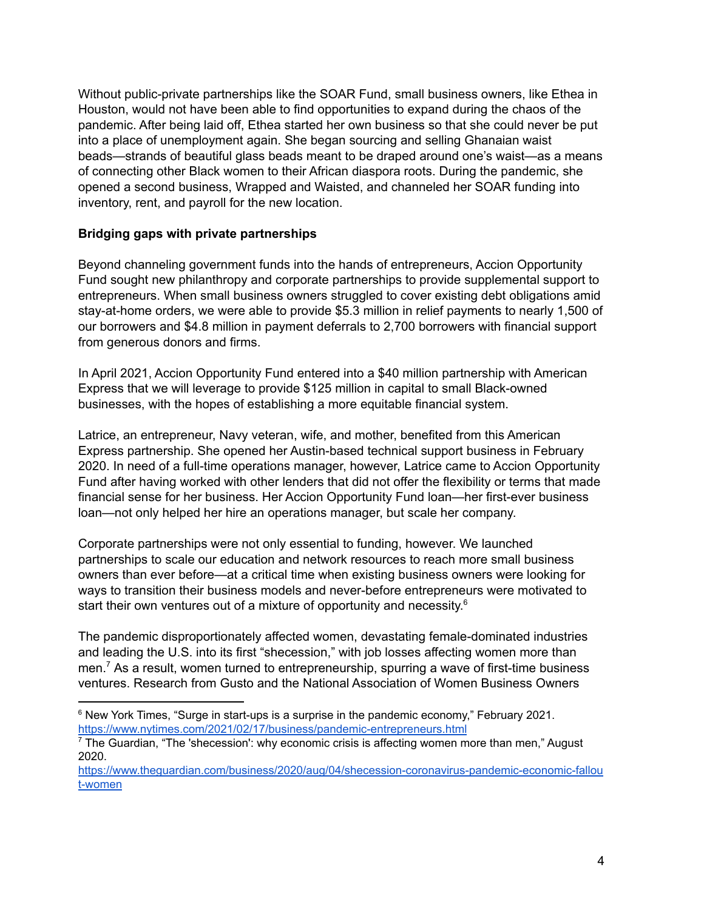Without public-private partnerships like the SOAR Fund, small business owners, like Ethea in Houston, would not have been able to find opportunities to expand during the chaos of the pandemic. After being laid off, Ethea started her own business so that she could never be put into a place of unemployment again. She began sourcing and selling Ghanaian waist beads—strands of beautiful glass beads meant to be draped around one's waist—as a means of connecting other Black women to their African diaspora roots. During the pandemic, she opened a second business, Wrapped and Waisted, and channeled her SOAR funding into inventory, rent, and payroll for the new location.

#### **Bridging gaps with private partnerships**

Beyond channeling government funds into the hands of entrepreneurs, Accion Opportunity Fund sought new philanthropy and corporate partnerships to provide supplemental support to entrepreneurs. When small business owners struggled to cover existing debt obligations amid stay-at-home orders, we were able to provide \$5.3 million in relief payments to nearly 1,500 of our borrowers and \$4.8 million in payment deferrals to 2,700 borrowers with financial support from generous donors and firms.

In April 2021, Accion Opportunity Fund entered into a \$40 million partnership with American Express that we will leverage to provide \$125 million in capital to small Black-owned businesses, with the hopes of establishing a more equitable financial system.

Latrice, an entrepreneur, Navy veteran, wife, and mother, benefited from this American Express partnership. She opened her Austin-based technical support business in February 2020. In need of a full-time operations manager, however, Latrice came to Accion Opportunity Fund after having worked with other lenders that did not offer the flexibility or terms that made financial sense for her business. Her Accion Opportunity Fund loan—her first-ever business loan—not only helped her hire an operations manager, but scale her company.

Corporate partnerships were not only essential to funding, however. We launched partnerships to scale our education and network resources to reach more small business owners than ever before—at a critical time when existing business owners were looking for ways to transition their business models and never-before entrepreneurs were motivated to start their own ventures out of a mixture of opportunity and necessity.<sup>6</sup>

The pandemic disproportionately affected women, devastating female-dominated industries and leading the U.S. into its first "shecession," with job losses affecting women more than men.<sup>7</sup> As a result, women turned to entrepreneurship, spurring a wave of first-time business ventures. Research from Gusto and the National Association of Women Business Owners

 $6$  New York Times, "Surge in start-ups is a surprise in the pandemic economy," February 2021. <https://www.nytimes.com/2021/02/17/business/pandemic-entrepreneurs.html>

 $<sup>7</sup>$  The Guardian, "The 'shecession': why economic crisis is affecting women more than men," August</sup> 2020.

[https://www.theguardian.com/business/2020/aug/04/shecession-coronavirus-pandemic-economic-fallou](https://www.theguardian.com/business/2020/aug/04/shecession-coronavirus-pandemic-economic-fallout-women) [t-women](https://www.theguardian.com/business/2020/aug/04/shecession-coronavirus-pandemic-economic-fallout-women)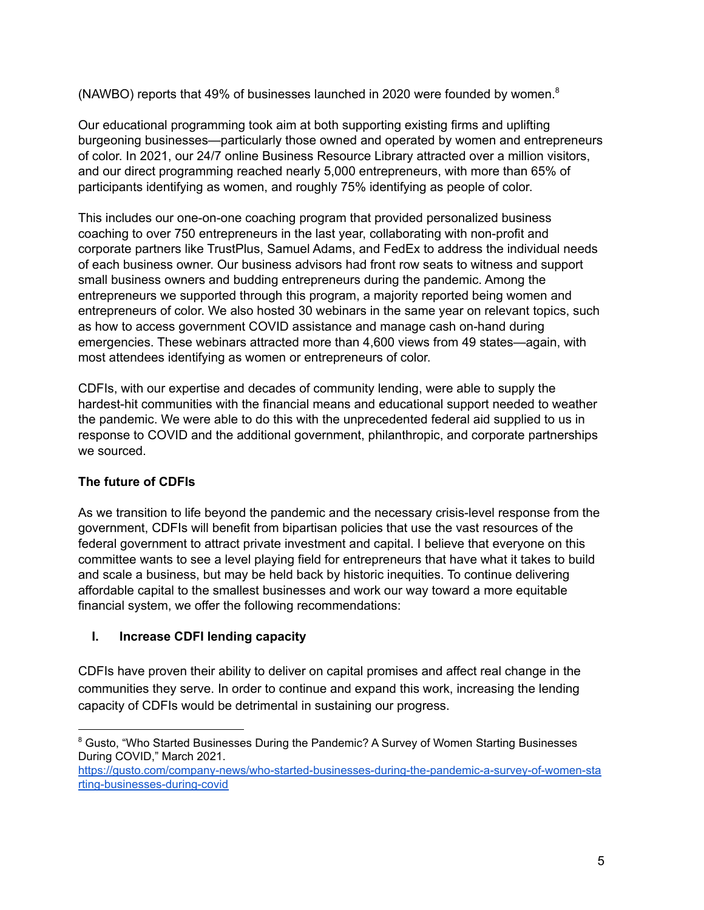(NAWBO) reports that 49% of businesses launched in 2020 were founded by women. 8

Our educational programming took aim at both supporting existing firms and uplifting burgeoning businesses—particularly those owned and operated by women and entrepreneurs of color. In 2021, our 24/7 online Business Resource Library attracted over a million visitors, and our direct programming reached nearly 5,000 entrepreneurs, with more than 65% of participants identifying as women, and roughly 75% identifying as people of color.

This includes our one-on-one coaching program that provided personalized business coaching to over 750 entrepreneurs in the last year, collaborating with non-profit and corporate partners like TrustPlus, Samuel Adams, and FedEx to address the individual needs of each business owner. Our business advisors had front row seats to witness and support small business owners and budding entrepreneurs during the pandemic. Among the entrepreneurs we supported through this program, a majority reported being women and entrepreneurs of color. We also hosted 30 webinars in the same year on relevant topics, such as how to access government COVID assistance and manage cash on-hand during emergencies. These webinars attracted more than 4,600 views from 49 states—again, with most attendees identifying as women or entrepreneurs of color.

CDFIs, with our expertise and decades of community lending, were able to supply the hardest-hit communities with the financial means and educational support needed to weather the pandemic. We were able to do this with the unprecedented federal aid supplied to us in response to COVID and the additional government, philanthropic, and corporate partnerships we sourced.

# **The future of CDFIs**

As we transition to life beyond the pandemic and the necessary crisis-level response from the government, CDFIs will benefit from bipartisan policies that use the vast resources of the federal government to attract private investment and capital. I believe that everyone on this committee wants to see a level playing field for entrepreneurs that have what it takes to build and scale a business, but may be held back by historic inequities. To continue delivering affordable capital to the smallest businesses and work our way toward a more equitable financial system, we offer the following recommendations:

# **I. Increase CDFI lending capacity**

CDFIs have proven their ability to deliver on capital promises and affect real change in the communities they serve. In order to continue and expand this work, increasing the lending capacity of CDFIs would be detrimental in sustaining our progress.

<sup>&</sup>lt;sup>8</sup> Gusto, "Who Started Businesses During the Pandemic? A Survey of Women Starting Businesses During COVID," March 2021.

[https://gusto.com/company-news/who-started-businesses-during-the-pandemic-a-survey-of-women-sta](https://gusto.com/company-news/who-started-businesses-during-the-pandemic-a-survey-of-women-starting-businesses-during-covid) [rting-businesses-during-covid](https://gusto.com/company-news/who-started-businesses-during-the-pandemic-a-survey-of-women-starting-businesses-during-covid)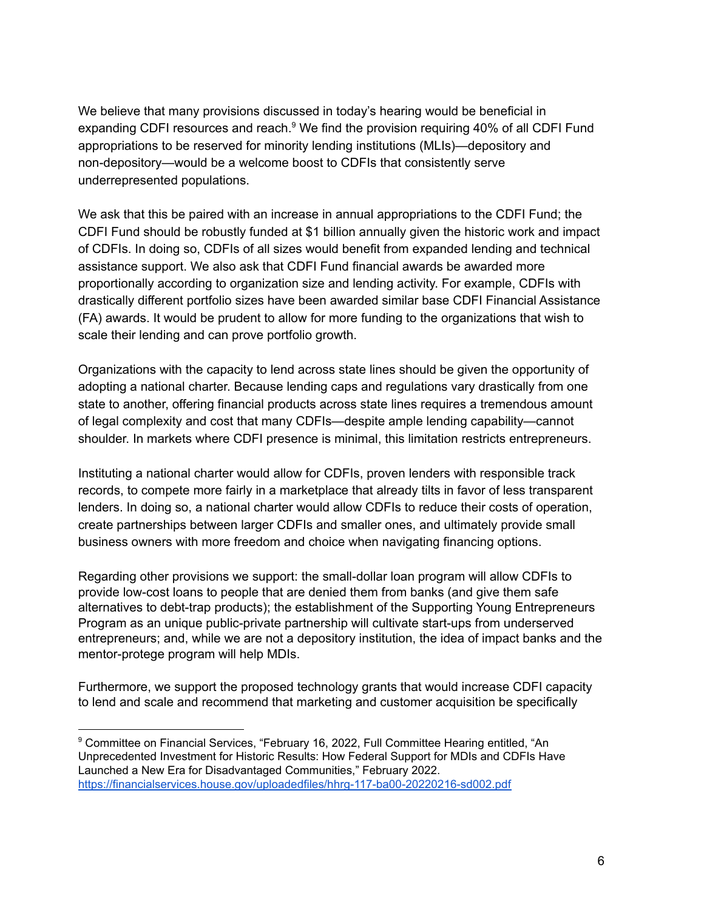We believe that many provisions discussed in today's hearing would be beneficial in expanding CDFI resources and reach. $9$  We find the provision requiring 40% of all CDFI Fund appropriations to be reserved for minority lending institutions (MLIs)—depository and non-depository—would be a welcome boost to CDFIs that consistently serve underrepresented populations.

We ask that this be paired with an increase in annual appropriations to the CDFI Fund; the CDFI Fund should be robustly funded at \$1 billion annually given the historic work and impact of CDFIs. In doing so, CDFIs of all sizes would benefit from expanded lending and technical assistance support. We also ask that CDFI Fund financial awards be awarded more proportionally according to organization size and lending activity. For example, CDFIs with drastically different portfolio sizes have been awarded similar base CDFI Financial Assistance (FA) awards. It would be prudent to allow for more funding to the organizations that wish to scale their lending and can prove portfolio growth.

Organizations with the capacity to lend across state lines should be given the opportunity of adopting a national charter. Because lending caps and regulations vary drastically from one state to another, offering financial products across state lines requires a tremendous amount of legal complexity and cost that many CDFIs—despite ample lending capability—cannot shoulder. In markets where CDFI presence is minimal, this limitation restricts entrepreneurs.

Instituting a national charter would allow for CDFIs, proven lenders with responsible track records, to compete more fairly in a marketplace that already tilts in favor of less transparent lenders. In doing so, a national charter would allow CDFIs to reduce their costs of operation, create partnerships between larger CDFIs and smaller ones, and ultimately provide small business owners with more freedom and choice when navigating financing options.

Regarding other provisions we support: the small-dollar loan program will allow CDFIs to provide low-cost loans to people that are denied them from banks (and give them safe alternatives to debt-trap products); the establishment of the Supporting Young Entrepreneurs Program as an unique public-private partnership will cultivate start-ups from underserved entrepreneurs; and, while we are not a depository institution, the idea of impact banks and the mentor-protege program will help MDIs.

Furthermore, we support the proposed technology grants that would increase CDFI capacity to lend and scale and recommend that marketing and customer acquisition be specifically

<sup>&</sup>lt;sup>9</sup> Committee on Financial Services, "February 16, 2022, Full Committee Hearing entitled, "An Unprecedented Investment for Historic Results: How Federal Support for MDIs and CDFIs Have Launched a New Era for Disadvantaged Communities," February 2022. <https://financialservices.house.gov/uploadedfiles/hhrg-117-ba00-20220216-sd002.pdf>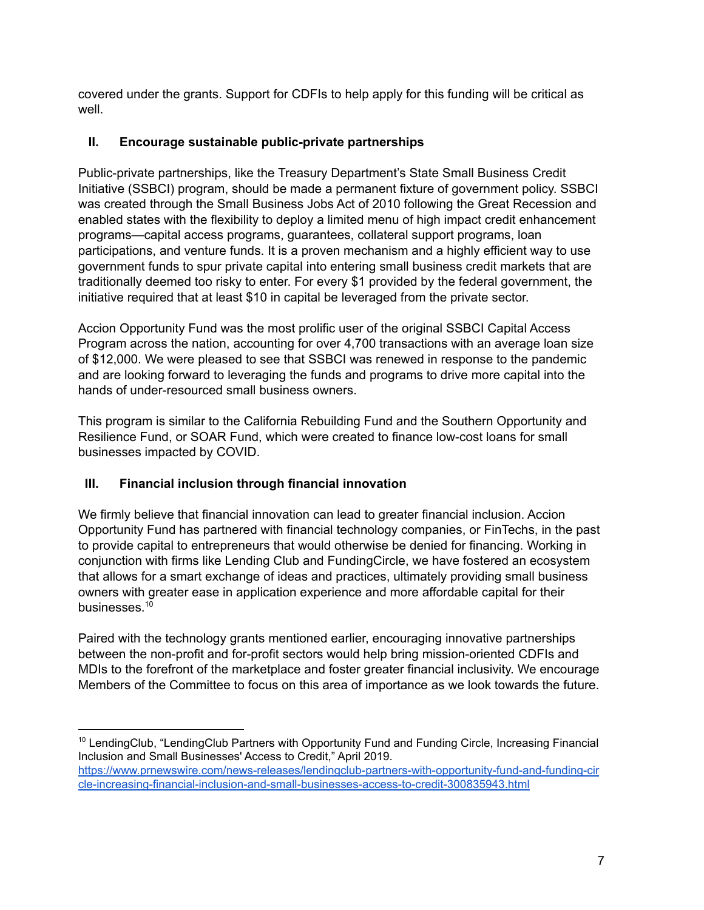covered under the grants. Support for CDFIs to help apply for this funding will be critical as well.

## **II. Encourage sustainable public-private partnerships**

Public-private partnerships, like the Treasury Department's State Small Business Credit Initiative (SSBCI) program, should be made a permanent fixture of government policy. SSBCI was created through the Small Business Jobs Act of 2010 following the Great Recession and enabled states with the flexibility to deploy a limited menu of high impact credit enhancement programs—capital access programs, guarantees, collateral support programs, loan participations, and venture funds. It is a proven mechanism and a highly efficient way to use government funds to spur private capital into entering small business credit markets that are traditionally deemed too risky to enter. For every \$1 provided by the federal government, the initiative required that at least \$10 in capital be leveraged from the private sector.

Accion Opportunity Fund was the most prolific user of the original SSBCI Capital Access Program across the nation, accounting for over 4,700 transactions with an average loan size of \$12,000. We were pleased to see that SSBCI was renewed in response to the pandemic and are looking forward to leveraging the funds and programs to drive more capital into the hands of under-resourced small business owners.

This program is similar to the California Rebuilding Fund and the Southern Opportunity and Resilience Fund, or SOAR Fund, which were created to finance low-cost loans for small businesses impacted by COVID.

# **III. Financial inclusion through financial innovation**

We firmly believe that financial innovation can lead to greater financial inclusion. Accion Opportunity Fund has partnered with financial technology companies, or FinTechs, in the past to provide capital to entrepreneurs that would otherwise be denied for financing. Working in conjunction with firms like Lending Club and FundingCircle, we have fostered an ecosystem that allows for a smart exchange of ideas and practices, ultimately providing small business owners with greater ease in application experience and more affordable capital for their businesses. 10

Paired with the technology grants mentioned earlier, encouraging innovative partnerships between the non-profit and for-profit sectors would help bring mission-oriented CDFIs and MDIs to the forefront of the marketplace and foster greater financial inclusivity. We encourage Members of the Committee to focus on this area of importance as we look towards the future.

<sup>&</sup>lt;sup>10</sup> LendingClub, "LendingClub Partners with Opportunity Fund and Funding Circle, Increasing Financial Inclusion and Small Businesses' Access to Credit," April 2019.

[https://www.prnewswire.com/news-releases/lendingclub-partners-with-opportunity-fund-and-funding-cir](https://www.prnewswire.com/news-releases/lendingclub-partners-with-opportunity-fund-and-funding-circle-increasing-financial-inclusion-and-small-businesses-access-to-credit-300835943.html) [cle-increasing-financial-inclusion-and-small-businesses-access-to-credit-300835943.html](https://www.prnewswire.com/news-releases/lendingclub-partners-with-opportunity-fund-and-funding-circle-increasing-financial-inclusion-and-small-businesses-access-to-credit-300835943.html)